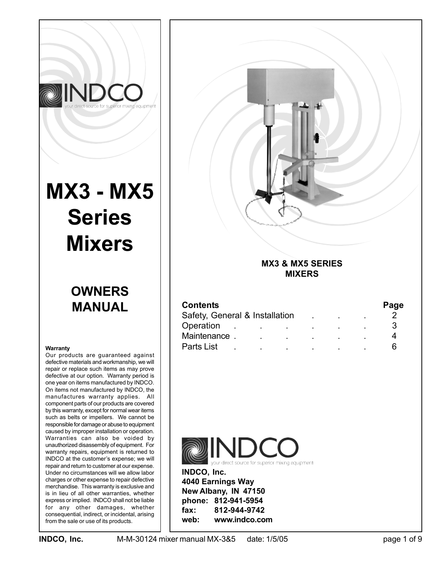

# **MX3 - MX5 Series Mixers**

# **OWNERS MANUAL**

#### **Warranty**

Our products are guaranteed against defective materials and workmanship, we will repair or replace such items as may prove defective at our option. Warranty period is one year on items manufactured by INDCO. On items not manufactured by INDCO, the manufactures warranty applies. All component parts of our products are covered by this warranty, except for normal wear items such as belts or impellers. We cannot be responsible for damage or abuse to equipment caused by improper installation or operation. Warranties can also be voided by unauthorized disassembly of equipment. For warranty repairs, equipment is returned to INDCO at the customer's expense; we will repair and return to customer at our expense. Under no circumstances will we allow labor charges or other expense to repair defective merchandise. This warranty is exclusive and is in lieu of all other warranties, whether express or implied. INDCO shall not be liable for any other damages, whether consequential, indirect, or incidental, arising from the sale or use of its products.



## **MX3 & MX5 SERIES MIXERS**

| <b>Contents</b>                |  |                |  |  |  |  | Page |
|--------------------------------|--|----------------|--|--|--|--|------|
| Safety, General & Installation |  |                |  |  |  |  |      |
| Operation                      |  | $\blacksquare$ |  |  |  |  |      |
| Maintenance.                   |  |                |  |  |  |  |      |
| Parts List                     |  |                |  |  |  |  |      |



**INDCO, Inc. 4040 Earnings Way New Albany, IN 47150 phone: 812-941-5954 fax: 812-944-9742 web: www.indco.com**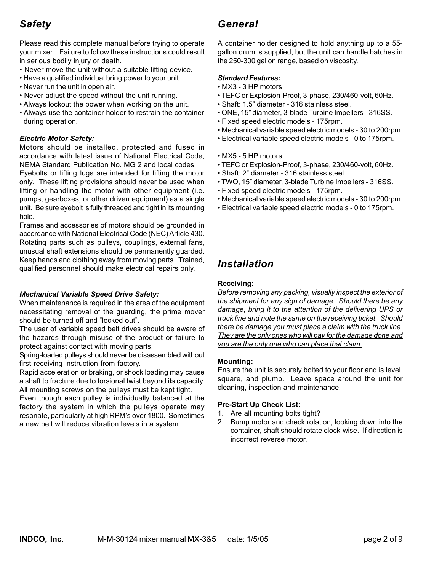# *Safety*

Please read this complete manual before trying to operate your mixer. Failure to follow these instructions could result in serious bodily injury or death.

- Never move the unit without a suitable lifting device.
- Have a qualified individual bring power to your unit.
- Never run the unit in open air.
- Never adjust the speed without the unit running.
- Always lockout the power when working on the unit.
- Always use the container holder to restrain the container during operation.

#### *Electric Motor Safety:*

Motors should be installed, protected and fused in accordance with latest issue of National Electrical Code, NEMA Standard Publication No. MG 2 and local codes. Eyebolts or lifting lugs are intended for lifting the motor only. These lifting provisions should never be used when lifting or handling the motor with other equipment (i.e. pumps, gearboxes, or other driven equipment) as a single unit. Be sure eyebolt is fully threaded and tight in its mounting hole.

Frames and accessories of motors should be grounded in accordance with National Electrical Code (NEC) Article 430. Rotating parts such as pulleys, couplings, external fans, unusual shaft extensions should be permanently guarded. Keep hands and clothing away from moving parts. Trained, qualified personnel should make electrical repairs only.

#### *Mechanical Variable Speed Drive Safety:*

When maintenance is required in the area of the equipment necessitating removal of the guarding, the prime mover should be turned off and "locked out".

The user of variable speed belt drives should be aware of the hazards through misuse of the product or failure to protect against contact with moving parts.

Spring-loaded pulleys should never be disassembled without first receiving instruction from factory.

Rapid acceleration or braking, or shock loading may cause a shaft to fracture due to torsional twist beyond its capacity. All mounting screws on the pulleys must be kept tight.

Even though each pulley is individually balanced at the factory the system in which the pulleys operate may resonate, particularly at high RPM's over 1800. Sometimes a new belt will reduce vibration levels in a system.

# *General*

A container holder designed to hold anything up to a 55 gallon drum is supplied, but the unit can handle batches in the 250-300 gallon range, based on viscosity.

#### *Standard Features:*

- MX3 3 HP motors
- TEFC or Explosion-Proof, 3-phase, 230/460-volt, 60Hz.
- Shaft: 1.5" diameter 316 stainless steel.
- ONE, 15" diameter, 3-blade Turbine Impellers 316SS.
- Fixed speed electric models 175rpm.
- Mechanical variable speed electric models 30 to 200rpm.
- Electrical variable speed electric models 0 to 175rpm.
- MX5 5 HP motors
- TEFC or Explosion-Proof, 3-phase, 230/460-volt, 60Hz.
- Shaft: 2" diameter 316 stainless steel.
- TWO, 15" diameter, 3-blade Turbine Impellers 316SS.
- Fixed speed electric models 175rpm.
- Mechanical variable speed electric models 30 to 200rpm.
- Electrical variable speed electric models 0 to 175rpm.

## *Installation*

#### **Receiving:**

*Before removing any packing, visually inspect the exterior of the shipment for any sign of damage. Should there be any damage, bring it to the attention of the delivering UPS or truck line and note the same on the receiving ticket. Should there be damage you must place a claim with the truck line. They are the only ones who will pay for the damage done and you are the only one who can place that claim.*

#### **Mounting:**

Ensure the unit is securely bolted to your floor and is level, square, and plumb. Leave space around the unit for cleaning, inspection and maintenance.

#### **Pre-Start Up Check List:**

- 1. Are all mounting bolts tight?
- 2. Bump motor and check rotation, looking down into the container, shaft should rotate clock-wise. If direction is incorrect reverse motor.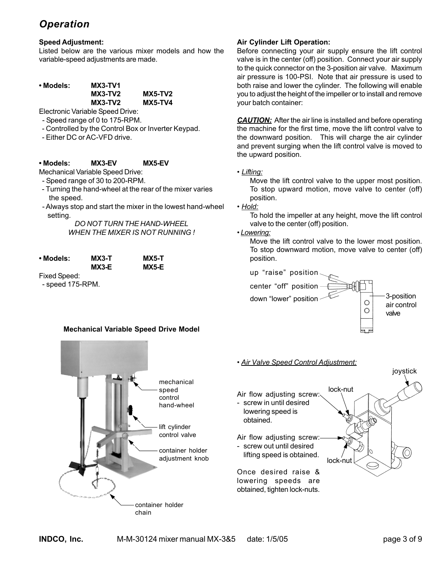# *Operation*

#### **Speed Adjustment:**

Listed below are the various mixer models and how the variable-speed adjustments are made.

| • Models: | <b>MX3-TV1</b> |                |
|-----------|----------------|----------------|
|           | MX3-TV2        | <b>MX5-TV2</b> |
|           | MX3-TV2        | <b>MX5-TV4</b> |
|           |                |                |

Electronic Variable Speed Drive:

- Speed range of 0 to 175-RPM.
- Controlled by the Control Box or Inverter Keypad.
- Either DC or AC-VFD drive.

#### **• Models: MX3-EV MX5-EV**

Mechanical Variable Speed Drive:

- Speed range of 30 to 200-RPM.
- Turning the hand-wheel at the rear of the mixer varies the speed.
- Always stop and start the mixer in the lowest hand-wheel setting.

*DO NOT TURN THE HAND-WHEEL WHEN THE MIXER IS NOT RUNNING !*

| • Models: | MX3-T | <b>MX5-T</b> |
|-----------|-------|--------------|
|           | MX3-E | MX5-E        |
|           |       |              |

Fixed Speed: - speed 175-RPM.

#### **Mechanical Variable Speed Drive Model**



#### **Air Cylinder Lift Operation:**

Before connecting your air supply ensure the lift control valve is in the center (off) position. Connect your air supply to the quick connector on the 3-position air valve. Maximum air pressure is 100-PSI. Note that air pressure is used to both raise and lower the cylinder. The following will enable you to adjust the height of the impeller or to install and remove your batch container:

*CAUTION:* After the air line is installed and before operating the machine for the first time, move the lift control valve to the downward position. This will charge the air cylinder and prevent surging when the lift control valve is moved to the upward position.

*• Lifting:*

Move the lift control valve to the upper most position. To stop upward motion, move valve to center (off) position.

*• Hold:*

To hold the impeller at any height, move the lift control valve to the center (off) position.

#### *• Lowering:*

Move the lift control valve to the lower most position. To stop downward motion, move valve to center (off) position.



• *Air Valve Speed Control Adjustment:*

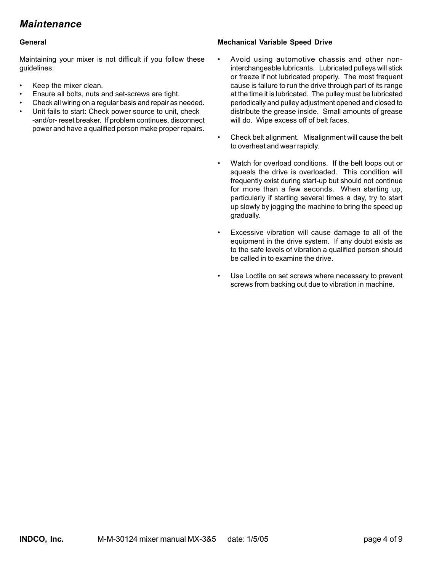# *Maintenance*

#### **General**

Maintaining your mixer is not difficult if you follow these guidelines:

- Keep the mixer clean.
- Ensure all bolts, nuts and set-screws are tight.
- Check all wiring on a regular basis and repair as needed.
- Unit fails to start: Check power source to unit, check -and/or- reset breaker. If problem continues, disconnect power and have a qualified person make proper repairs.

#### **Mechanical Variable Speed Drive**

- Avoid using automotive chassis and other noninterchangeable lubricants. Lubricated pulleys will stick or freeze if not lubricated properly. The most frequent cause is failure to run the drive through part of its range at the time it is lubricated. The pulley must be lubricated periodically and pulley adjustment opened and closed to distribute the grease inside. Small amounts of grease will do. Wipe excess off of belt faces.
- Check belt alignment. Misalignment will cause the belt to overheat and wear rapidly.
- Watch for overload conditions. If the belt loops out or squeals the drive is overloaded. This condition will frequently exist during start-up but should not continue for more than a few seconds. When starting up, particularly if starting several times a day, try to start up slowly by jogging the machine to bring the speed up gradually.
- Excessive vibration will cause damage to all of the equipment in the drive system. If any doubt exists as to the safe levels of vibration a qualified person should be called in to examine the drive.
- Use Loctite on set screws where necessary to prevent screws from backing out due to vibration in machine.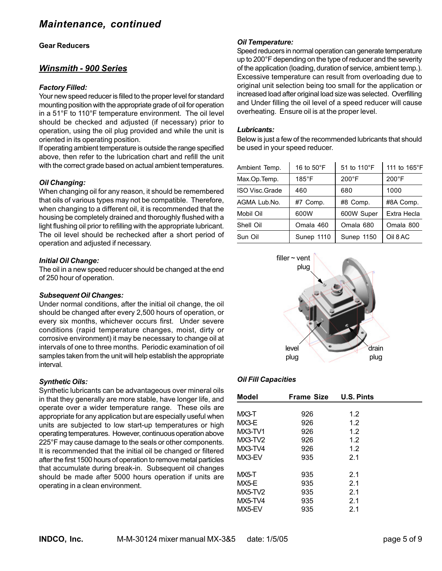#### **Gear Reducers**

#### *Winsmith - 900 Series*

#### *Factory Filled:*

Your new speed reducer is filled to the proper level for standard mounting position with the appropriate grade of oil for operation in a 51°F to 110°F temperature environment. The oil level should be checked and adjusted (if necessary) prior to operation, using the oil plug provided and while the unit is oriented in its operating position.

If operating ambient temperature is outside the range specified above, then refer to the lubrication chart and refill the unit with the correct grade based on actual ambient temperatures.

#### *Oil Changing:*

When changing oil for any reason, it should be remembered that oils of various types may not be compatible. Therefore, when changing to a different oil, it is recommended that the housing be completely drained and thoroughly flushed with a light flushing oil prior to refilling with the appropriate lubricant. The oil level should be rechecked after a short period of operation and adjusted if necessary.

#### *Initial Oil Change:*

The oil in a new speed reducer should be changed at the end of 250 hour of operation.

#### *Subsequent Oil Changes:*

Under normal conditions, after the initial oil change, the oil should be changed after every 2,500 hours of operation, or every six months, whichever occurs first. Under severe conditions (rapid temperature changes, moist, dirty or corrosive environment) it may be necessary to change oil at intervals of one to three months. Periodic examination of oil samples taken from the unit will help establish the appropriate interval.

#### *Synthetic Oils:*

Synthetic lubricants can be advantageous over mineral oils in that they generally are more stable, have longer life, and operate over a wider temperature range. These oils are appropriate for any application but are especially useful when units are subjected to low start-up temperatures or high operating temperatures. However, continuous operation above 225°F may cause damage to the seals or other components. It is recommended that the initial oil be changed or filtered after the first 1500 hours of operation to remove metal particles that accumulate during break-in. Subsequent oil changes should be made after 5000 hours operation if units are operating in a clean environment.

#### *Oil Temperature:*

Speed reducers in normal operation can generate temperature up to 200°F depending on the type of reducer and the severity of the application (loading, duration of service, ambient temp.). Excessive temperature can result from overloading due to original unit selection being too small for the application or increased load after original load size was selected. Overfilling and Under filling the oil level of a speed reducer will cause overheating. Ensure oil is at the proper level.

#### *Lubricants:*

Below is just a few of the recommended lubricants that should be used in your speed reducer.

| Ambient Temp.         | 16 to 50°F      | 51 to 110°F     | 111 to 165°F    |
|-----------------------|-----------------|-----------------|-----------------|
| Max.Op.Temp.          | $185^{\circ}$ F | $200^{\circ}$ F | $200^{\circ}$ F |
| <b>ISO Visc.Grade</b> | 460             | 680             | 1000            |
| AGMA Lub.No.          | #7 Comp.        | #8 Comp.        | #8A Comp.       |
| Mobil Oil             | 600W            | 600W Super      | Extra Hecla     |
| Shell Oil             | Omala 460       | Omala 680       | Omala 800       |
| Sun Oil               | Sunep 1110      | Sunep 1150      | Oil 8 AC        |



#### *Oil Fill Capacities*

| Model          | <b>Frame Size</b> | <b>U.S. Pints</b> |  |
|----------------|-------------------|-------------------|--|
|                |                   |                   |  |
| MX3-T          | 926               | 1.2               |  |
| MX3-E          | 926               | 1.2               |  |
| $MX3-TV1$      | 926               | 1.2               |  |
| $MX3-TV2$      | 926               | 1.2               |  |
| MX3-TV4        | 926               | 1.2               |  |
| MX3-EV         | 935               | 2.1               |  |
| MX5-T          | 935               | 2.1               |  |
|                |                   |                   |  |
| MX5-E          | 935               | 2.1               |  |
| $MX5-TV2$      | 935               | 2.1               |  |
| <b>MX5-TV4</b> | 935               | 2.1               |  |
| MX5-EV         | 935               | 2.1               |  |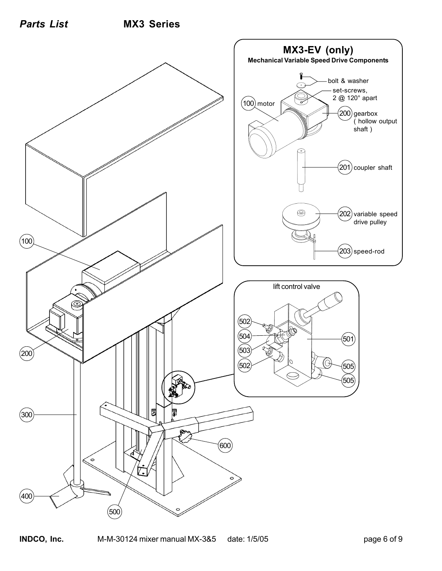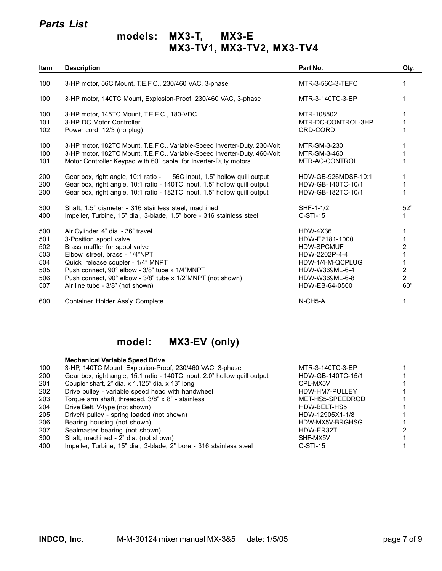## *Parts List*

# **models: MX3-T, MX3-E MX3-TV1, MX3-TV2, MX3-TV4**

| Item                                                         | <b>Description</b>                                                                                                                                                                                                                                                                                                       | Part No.                                                                                                                                          | Qty.                                              |
|--------------------------------------------------------------|--------------------------------------------------------------------------------------------------------------------------------------------------------------------------------------------------------------------------------------------------------------------------------------------------------------------------|---------------------------------------------------------------------------------------------------------------------------------------------------|---------------------------------------------------|
| 100.                                                         | 3-HP motor, 56C Mount, T.E.F.C., 230/460 VAC, 3-phase                                                                                                                                                                                                                                                                    | MTR-3-56C-3-TEFC                                                                                                                                  | 1                                                 |
| 100.                                                         | 3-HP motor, 140TC Mount, Explosion-Proof, 230/460 VAC, 3-phase                                                                                                                                                                                                                                                           | MTR-3-140TC-3-EP                                                                                                                                  | 1                                                 |
| 100.<br>101.<br>102.                                         | 3-HP motor, 145TC Mount, T.E.F.C., 180-VDC<br>3-HP DC Motor Controller<br>Power cord, 12/3 (no plug)                                                                                                                                                                                                                     | MTR-108502<br>MTR-DC-CONTROL-3HP<br>CRD-CORD                                                                                                      | 1                                                 |
| 100.<br>100.<br>101.                                         | 3-HP motor, 182TC Mount, T.E.F.C., Variable-Speed Inverter-Duty, 230-Volt<br>3-HP motor, 182TC Mount, T.E.F.C., Variable-Speed Inverter-Duty, 460-Volt<br>Motor Controller Keypad with 60" cable, for Inverter-Duty motors                                                                                               | MTR-SM-3-230<br>MTR-SM-3-460<br>MTR-AC-CONTROL                                                                                                    |                                                   |
| 200.<br>200.<br>200.                                         | Gear box, right angle, 10:1 ratio - 56C input, 1.5" hollow quill output<br>Gear box, right angle, 10:1 ratio - 140TC input, 1.5" hollow quill output<br>Gear box, right angle, 10:1 ratio - 182TC input, 1.5" hollow quill output                                                                                        | HDW-GB-926MDSF-10:1<br>HDW-GB-140TC-10/1<br>HDW-GB-182TC-10/1                                                                                     |                                                   |
| 300.<br>400.                                                 | Shaft, 1.5" diameter - 316 stainless steel, machined<br>Impeller, Turbine, 15" dia., 3-blade, 1.5" bore - 316 stainless steel                                                                                                                                                                                            | SHF-1-1/2<br>$C-STI-15$                                                                                                                           | 52"                                               |
| 500.<br>501.<br>502.<br>503.<br>504.<br>505.<br>506.<br>507. | Air Cylinder, 4" dia. - 36" travel<br>3-Position spool valve<br>Brass muffler for spool valve<br>Elbow, street, brass - 1/4"NPT<br>Quick release coupler - 1/4" MNPT<br>Push connect, 90° elbow - 3/8" tube x 1/4"MNPT<br>Push connect, 90° elbow - 3/8" tube x 1/2"MNPT (not shown)<br>Air line tube - 3/8" (not shown) | <b>HDW-4X36</b><br>HDW-E2181-1000<br><b>HDW-SPCMUF</b><br>HDW-2202P-4-4<br>HDW-1/4-M-QCPLUG<br>HDW-W369ML-6-4<br>HDW-W369ML-6-8<br>HDW-EB-64-0500 | 2<br>1<br>$\overline{2}$<br>$\overline{2}$<br>60" |
| 600.                                                         | Container Holder Ass'y Complete                                                                                                                                                                                                                                                                                          | N-CH5-A                                                                                                                                           | 1                                                 |

# **model: MX3-EV (only)**

|      | <b>Mechanical Variable Speed Drive</b>                                    |                   |  |
|------|---------------------------------------------------------------------------|-------------------|--|
| 100. | 3-HP, 140TC Mount, Explosion-Proof, 230/460 VAC, 3-phase                  | MTR-3-140TC-3-EP  |  |
| 200. | Gear box, right angle, 15:1 ratio - 140TC input, 2.0" hollow quill output | HDW-GB-140TC-15/1 |  |
| 201. | Coupler shaft, 2" dia. x 1.125" dia. x 13" long                           | CPL-MX5V          |  |
| 202. | Drive pulley - variable speed head with handwheel                         | HDW-HM7-PULLEY    |  |
| 203. | Torque arm shaft, threaded, 3/8" x 8" - stainless                         | MET-HS5-SPEEDROD  |  |
| 204. | Drive Belt, V-type (not shown)                                            | HDW-BELT-HS5      |  |
| 205. | DriveN pulley - spring loaded (not shown)                                 | HDW-12905X1-1/8   |  |
| 206. | Bearing housing (not shown)                                               | HDW-MX5V-BRGHSG   |  |
| 207. | Sealmaster bearing (not shown)                                            | HDW-ER32T         |  |
| 300. | Shaft, machined - 2" dia. (not shown)                                     | SHF-MX5V          |  |
| 400. | Impeller, Turbine, 15" dia., 3-blade, 2" bore - 316 stainless steel       | $C-STI-15$        |  |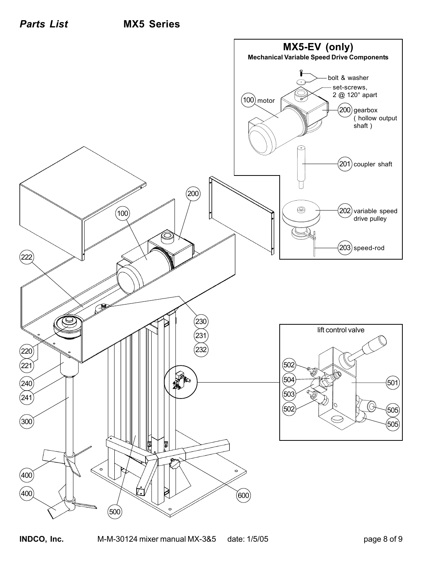